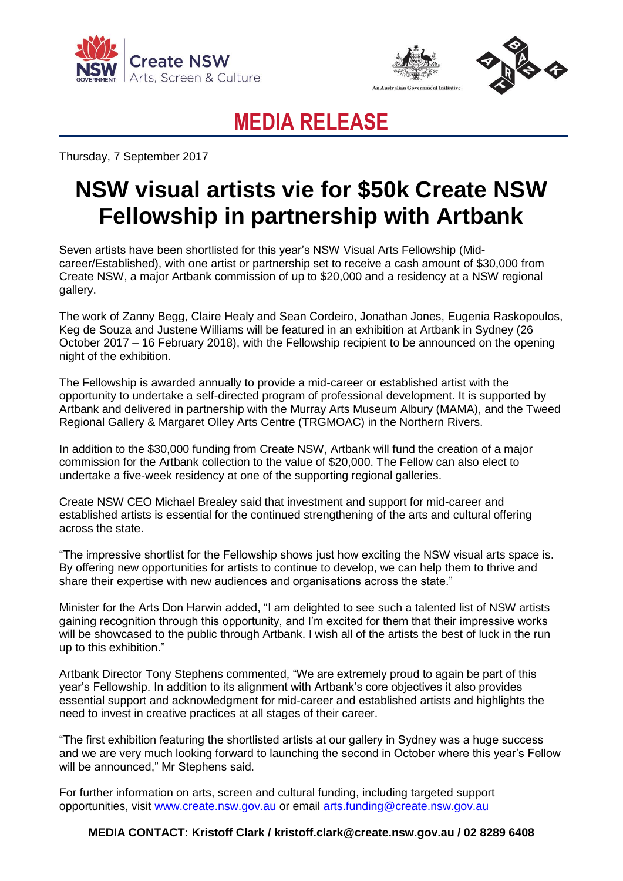





## **MEDIA RELEASE**

Thursday, 7 September 2017

## **NSW visual artists vie for \$50k Create NSW Fellowship in partnership with Artbank**

Seven artists have been shortlisted for this year's NSW Visual Arts Fellowship (Midcareer/Established), with one artist or partnership set to receive a cash amount of \$30,000 from Create NSW, a major Artbank commission of up to \$20,000 and a residency at a NSW regional gallery.

The work of Zanny Begg, Claire Healy and Sean Cordeiro, Jonathan Jones, Eugenia Raskopoulos, Keg de Souza and Justene Williams will be featured in an exhibition at Artbank in Sydney (26 October 2017 – 16 February 2018), with the Fellowship recipient to be announced on the opening night of the exhibition.

The Fellowship is awarded annually to provide a mid-career or established artist with the opportunity to undertake a self-directed program of professional development. It is supported by Artbank and delivered in partnership with the Murray Arts Museum Albury (MAMA), and the Tweed Regional Gallery & Margaret Olley Arts Centre (TRGMOAC) in the Northern Rivers.

In addition to the \$30,000 funding from Create NSW, Artbank will fund the creation of a major commission for the Artbank collection to the value of \$20,000. The Fellow can also elect to undertake a five-week residency at one of the supporting regional galleries.

Create NSW CEO Michael Brealey said that investment and support for mid-career and established artists is essential for the continued strengthening of the arts and cultural offering across the state.

"The impressive shortlist for the Fellowship shows just how exciting the NSW visual arts space is. By offering new opportunities for artists to continue to develop, we can help them to thrive and share their expertise with new audiences and organisations across the state."

Minister for the Arts Don Harwin added, "I am delighted to see such a talented list of NSW artists gaining recognition through this opportunity, and I'm excited for them that their impressive works will be showcased to the public through Artbank. I wish all of the artists the best of luck in the run up to this exhibition."

Artbank Director Tony Stephens commented, "We are extremely proud to again be part of this year's Fellowship. In addition to its alignment with Artbank's core objectives it also provides essential support and acknowledgment for mid-career and established artists and highlights the need to invest in creative practices at all stages of their career.

"The first exhibition featuring the shortlisted artists at our gallery in Sydney was a huge success and we are very much looking forward to launching the second in October where this year's Fellow will be announced," Mr Stephens said.

For further information on arts, screen and cultural funding, including targeted support opportunities, visit [www.create.nsw.gov.au](http://www.create.nsw.gov.au/) or email [arts.funding@create.nsw.gov.au](mailto:arts.funding@create.nsw.gov.au)